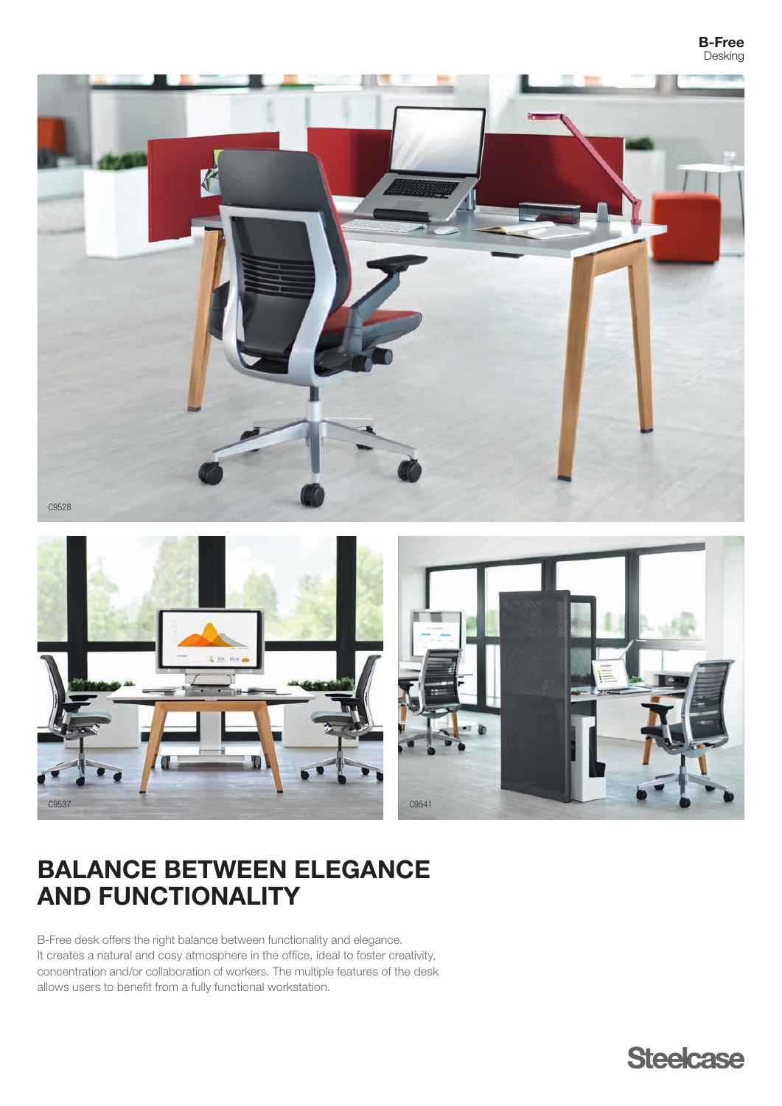## B-Free Desking



# BALANCE BETWEEN ELEGANCE AND FUNCTIONALITY

B-Free desk offers the right balance between functionality and elegance. It creates a natural and cosy atmosphere in the office, ideal to foster creativity, concentration and/or collaboration of workers. The multiple features of the desk allows users to benefit from a fully functional workstation.

**Steelcase**